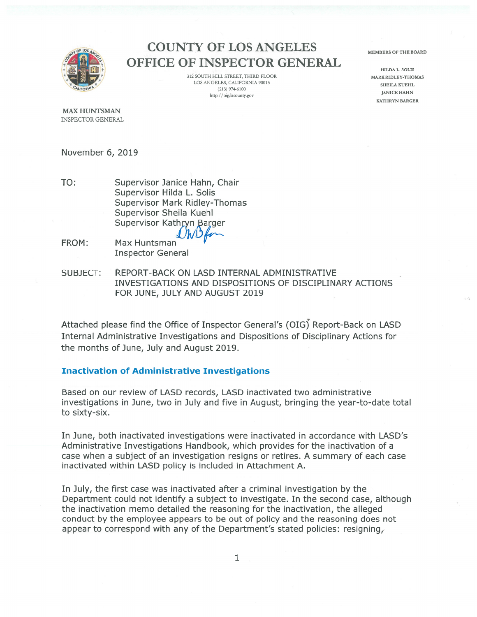

# **COUNTY OF LOS ANGELES OFFICE OF INSPECTOR GENERAL**

312 SOUTH HILL STREET, THIRD FLOOR LOS ANGELES, CALIFORNIA 90013  $(213)$  974-6100 http://oig.lacounty.gov

MEMBERS OF THE BOARD

HILDA L. SOLIS MARK RIDLEY-THOMAS SHEILA KUEHL **JANICE HAHN KATHRYN BARGER** 

**MAX HUNTSMAN INSPECTOR GENERAL** 

November 6, 2019

- TO: Supervisor Janice Hahn, Chair Supervisor Hilda L. Solis **Supervisor Mark Ridley-Thomas** Supervisor Sheila Kuehl Supervisor Kathryn Barger
- FROM: Max Huntsman **Inspector General**
- REPORT-BACK ON LASD INTERNAL ADMINISTRATIVE SUBJECT: INVESTIGATIONS AND DISPOSITIONS OF DISCIPLINARY ACTIONS FOR JUNE, JULY AND AUGUST 2019

Attached please find the Office of Inspector General's (OIG) Report-Back on LASD Internal Administrative Investigations and Dispositions of Disciplinary Actions for the months of June, July and August 2019.

#### **Inactivation of Administrative Investigations**

Based on our review of LASD records, LASD inactivated two administrative investigations in June, two in July and five in August, bringing the year-to-date total to sixty-six.

In June, both inactivated investigations were inactivated in accordance with LASD's Administrative Investigations Handbook, which provides for the inactivation of a case when a subject of an investigation resigns or retires. A summary of each case inactivated within LASD policy is included in Attachment A.

In July, the first case was inactivated after a criminal investigation by the Department could not identify a subject to investigate. In the second case, although the inactivation memo detailed the reasoning for the inactivation, the alleged conduct by the employee appears to be out of policy and the reasoning does not appear to correspond with any of the Department's stated policies: resigning,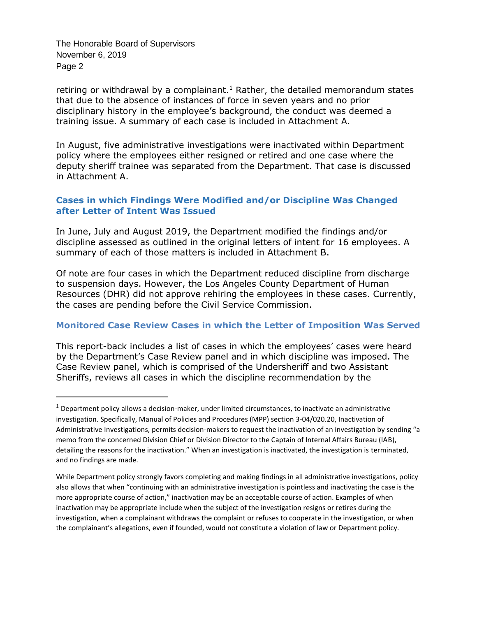The Honorable Board of Supervisors November 6, 2019 Page 2

j

retiring or withdrawal by a complainant.<sup>1</sup> Rather, the detailed memorandum states that due to the absence of instances of force in seven years and no prior disciplinary history in the employee's background, the conduct was deemed a training issue. A summary of each case is included in Attachment A.

In August, five administrative investigations were inactivated within Department policy where the employees either resigned or retired and one case where the deputy sheriff trainee was separated from the Department. That case is discussed in Attachment A.

#### **Cases in which Findings Were Modified and/or Discipline Was Changed after Letter of Intent Was Issued**

In June, July and August 2019, the Department modified the findings and/or discipline assessed as outlined in the original letters of intent for 16 employees. A summary of each of those matters is included in Attachment B.

Of note are four cases in which the Department reduced discipline from discharge to suspension days. However, the Los Angeles County Department of Human Resources (DHR) did not approve rehiring the employees in these cases. Currently, the cases are pending before the Civil Service Commission.

#### **Monitored Case Review Cases in which the Letter of Imposition Was Served**

This report-back includes a list of cases in which the employees' cases were heard by the Department's Case Review panel and in which discipline was imposed. The Case Review panel, which is comprised of the Undersheriff and two Assistant Sheriffs, reviews all cases in which the discipline recommendation by the

<sup>1</sup> Department policy allows a decision-maker, under limited circumstances, to inactivate an administrative investigation. Specifically, Manual of Policies and Procedures (MPP) section 3-04/020.20, Inactivation of Administrative Investigations, permits decision-makers to request the inactivation of an investigation by sending "a memo from the concerned Division Chief or Division Director to the Captain of Internal Affairs Bureau (IAB), detailing the reasons for the inactivation." When an investigation is inactivated, the investigation is terminated, and no findings are made.

While Department policy strongly favors completing and making findings in all administrative investigations, policy also allows that when "continuing with an administrative investigation is pointless and inactivating the case is the more appropriate course of action," inactivation may be an acceptable course of action. Examples of when inactivation may be appropriate include when the subject of the investigation resigns or retires during the investigation, when a complainant withdraws the complaint or refuses to cooperate in the investigation, or when the complainant's allegations, even if founded, would not constitute a violation of law or Department policy.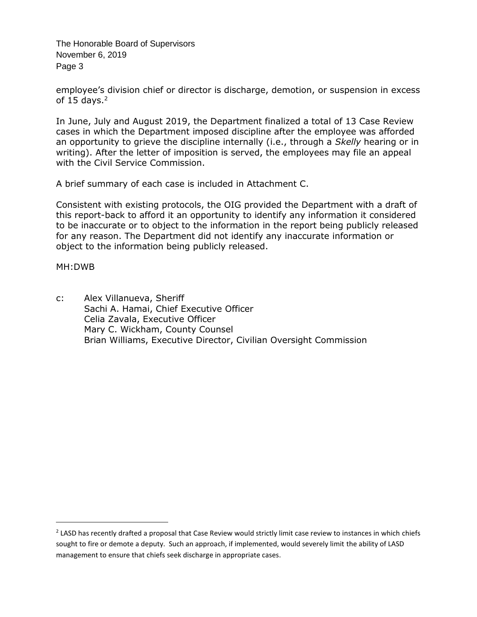The Honorable Board of Supervisors November 6, 2019 Page 3

employee's division chief or director is discharge, demotion, or suspension in excess of 15 days. $<sup>2</sup>$ </sup>

In June, July and August 2019, the Department finalized a total of 13 Case Review cases in which the Department imposed discipline after the employee was afforded an opportunity to grieve the discipline internally (i.e., through a *Skelly* hearing or in writing). After the letter of imposition is served, the employees may file an appeal with the Civil Service Commission.

A brief summary of each case is included in Attachment C.

Consistent with existing protocols, the OIG provided the Department with a draft of this report-back to afford it an opportunity to identify any information it considered to be inaccurate or to object to the information in the report being publicly released for any reason. The Department did not identify any inaccurate information or object to the information being publicly released.

#### MH:DWB

-

c: Alex Villanueva, Sheriff Sachi A. Hamai, Chief Executive Officer Celia Zavala, Executive Officer Mary C. Wickham, County Counsel Brian Williams, Executive Director, Civilian Oversight Commission

 $^2$  LASD has recently drafted a proposal that Case Review would strictly limit case review to instances in which chiefs sought to fire or demote a deputy. Such an approach, if implemented, would severely limit the ability of LASD management to ensure that chiefs seek discharge in appropriate cases.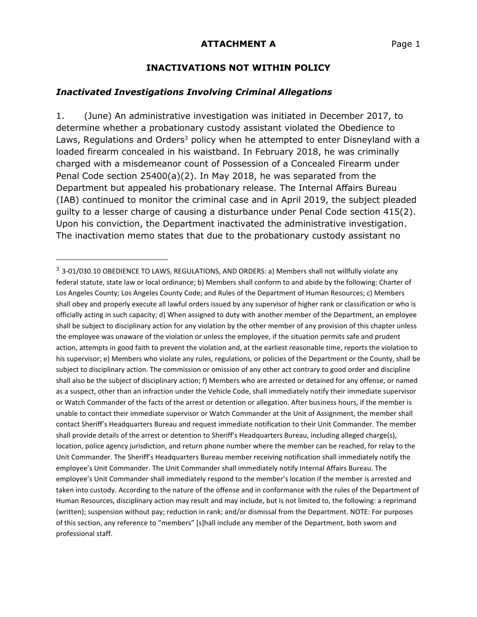#### **INACTIVATIONS NOT WITHIN POLICY**

#### *Inactivated Investigations Involving Criminal Allegations*

 $\overline{a}$ 

1. (June) An administrative investigation was initiated in December 2017, to determine whether a probationary custody assistant violated the Obedience to Laws, Regulations and Orders<sup>3</sup> policy when he attempted to enter Disneyland with a loaded firearm concealed in his waistband. In February 2018, he was criminally charged with a misdemeanor count of Possession of a Concealed Firearm under Penal Code section 25400(a)(2). In May 2018, he was separated from the Department but appealed his probationary release. The Internal Affairs Bureau (IAB) continued to monitor the criminal case and in April 2019, the subject pleaded guilty to a lesser charge of causing a disturbance under Penal Code section 415(2). Upon his conviction, the Department inactivated the administrative investigation. The inactivation memo states that due to the probationary custody assistant no

<sup>&</sup>lt;sup>3</sup> 3-01/030.10 OBEDIENCE TO LAWS, REGULATIONS, AND ORDERS: a) Members shall not willfully violate any federal statute, state law or local ordinance; b) Members shall conform to and abide by the following: Charter of Los Angeles County; Los Angeles County Code; and Rules of the Department of Human Resources; c) Members shall obey and properly execute all lawful orders issued by any supervisor of higher rank or classification or who is officially acting in such capacity; d) When assigned to duty with another member of the Department, an employee shall be subject to disciplinary action for any violation by the other member of any provision of this chapter unless the employee was unaware of the violation or unless the employee, if the situation permits safe and prudent action, attempts in good faith to prevent the violation and, at the earliest reasonable time, reports the violation to his supervisor; e) Members who violate any rules, regulations, or policies of the Department or the County, shall be subject to disciplinary action. The commission or omission of any other act contrary to good order and discipline shall also be the subject of disciplinary action; f) Members who are arrested or detained for any offense, or named as a suspect, other than an infraction under the Vehicle Code, shall immediately notify their immediate supervisor or Watch Commander of the facts of the arrest or detention or allegation. After business hours, if the member is unable to contact their immediate supervisor or Watch Commander at the Unit of Assignment, the member shall contact Sheriff's Headquarters Bureau and request immediate notification to their Unit Commander. The member shall provide details of the arrest or detention to Sheriff's Headquarters Bureau, including alleged charge(s), location, police agency jurisdiction, and return phone number where the member can be reached, for relay to the Unit Commander. The Sheriff's Headquarters Bureau member receiving notification shall immediately notify the employee's Unit Commander. The Unit Commander shall immediately notify Internal Affairs Bureau. The employee's Unit Commander shall immediately respond to the member's location if the member is arrested and taken into custody. According to the nature of the offense and in conformance with the rules of the Department of Human Resources, disciplinary action may result and may include, but is not limited to, the following: a reprimand (written); suspension without pay; reduction in rank; and/or dismissal from the Department. NOTE: For purposes of this section, any reference to "members" [s]hall include any member of the Department, both sworn and professional staff.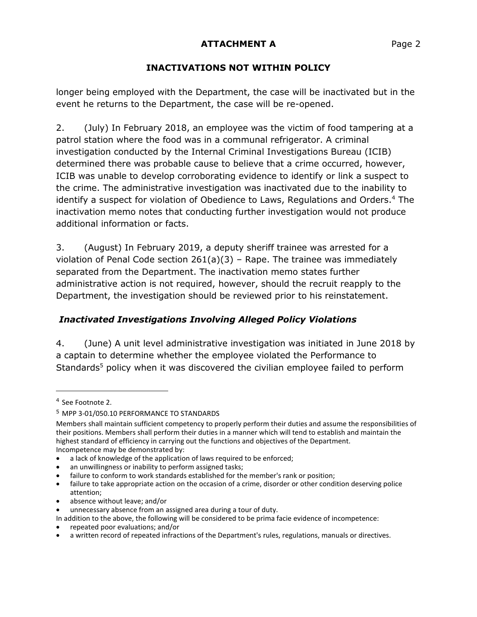# **INACTIVATIONS NOT WITHIN POLICY**

longer being employed with the Department, the case will be inactivated but in the event he returns to the Department, the case will be re-opened.

2. (July) In February 2018, an employee was the victim of food tampering at a patrol station where the food was in a communal refrigerator. A criminal investigation conducted by the Internal Criminal Investigations Bureau (ICIB) determined there was probable cause to believe that a crime occurred, however, ICIB was unable to develop corroborating evidence to identify or link a suspect to the crime. The administrative investigation was inactivated due to the inability to identify a suspect for violation of Obedience to Laws, Regulations and Orders. <sup>4</sup> The inactivation memo notes that conducting further investigation would not produce additional information or facts.

3. (August) In February 2019, a deputy sheriff trainee was arrested for a violation of Penal Code section 261(a)(3) – Rape. The trainee was immediately separated from the Department. The inactivation memo states further administrative action is not required, however, should the recruit reapply to the Department, the investigation should be reviewed prior to his reinstatement.

# *Inactivated Investigations Involving Alleged Policy Violations*

4. (June) A unit level administrative investigation was initiated in June 2018 by a captain to determine whether the employee violated the Performance to Standards<sup>5</sup> policy when it was discovered the civilian employee failed to perform

 $\overline{a}$ 

<sup>4</sup> See Footnote 2.

<sup>5</sup> MPP 3-01/050.10 PERFORMANCE TO STANDARDS

Members shall maintain sufficient competency to properly perform their duties and assume the responsibilities of their positions. Members shall perform their duties in a manner which will tend to establish and maintain the highest standard of efficiency in carrying out the functions and objectives of the Department. Incompetence may be demonstrated by:

a lack of knowledge of the application of laws required to be enforced;

an unwillingness or inability to perform assigned tasks;

<sup>•</sup> failure to conform to work standards established for the member's rank or position;

<sup>•</sup> failure to take appropriate action on the occasion of a crime, disorder or other condition deserving police attention;

<sup>•</sup> absence without leave; and/or

unnecessary absence from an assigned area during a tour of duty.

In addition to the above, the following will be considered to be prima facie evidence of incompetence:

<sup>•</sup> repeated poor evaluations; and/or

<sup>•</sup> a written record of repeated infractions of the Department's rules, regulations, manuals or directives.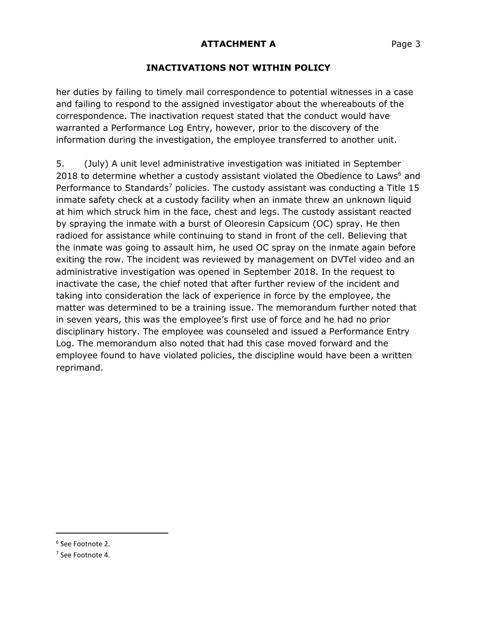### **INACTIVATIONS NOT WITHIN POLICY**

her duties by failing to timely mail correspondence to potential witnesses in a case and failing to respond to the assigned investigator about the whereabouts of the correspondence. The inactivation request stated that the conduct would have warranted a Performance Log Entry, however, prior to the discovery of the information during the investigation, the employee transferred to another unit.

5. (July) A unit level administrative investigation was initiated in September 2018 to determine whether a custody assistant violated the Obedience to Laws $<sup>6</sup>$  and</sup> Performance to Standards<sup>7</sup> policies. The custody assistant was conducting a Title 15 inmate safety check at a custody facility when an inmate threw an unknown liquid at him which struck him in the face, chest and legs. The custody assistant reacted by spraying the inmate with a burst of Oleoresin Capsicum (OC) spray. He then radioed for assistance while continuing to stand in front of the cell. Believing that the inmate was going to assault him, he used OC spray on the inmate again before exiting the row. The incident was reviewed by management on DVTel video and an administrative investigation was opened in September 2018. In the request to inactivate the case, the chief noted that after further review of the incident and taking into consideration the lack of experience in force by the employee, the matter was determined to be a training issue. The memorandum further noted that in seven years, this was the employee's first use of force and he had no prior disciplinary history. The employee was counseled and issued a Performance Entry Log. The memorandum also noted that had this case moved forward and the employee found to have violated policies, the discipline would have been a written reprimand.

j

<sup>6</sup> See Footnote 2.

<sup>7</sup> See Footnote 4.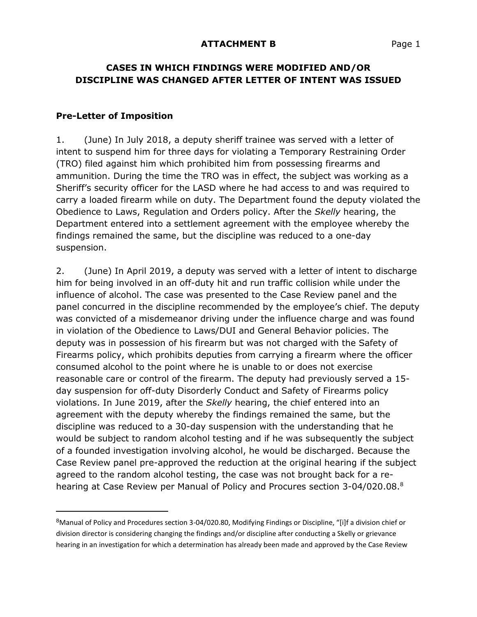### **CASES IN WHICH FINDINGS WERE MODIFIED AND/OR DISCIPLINE WAS CHANGED AFTER LETTER OF INTENT WAS ISSUED**

#### **Pre-Letter of Imposition**

 $\overline{a}$ 

1. (June) In July 2018, a deputy sheriff trainee was served with a letter of intent to suspend him for three days for violating a Temporary Restraining Order (TRO) filed against him which prohibited him from possessing firearms and ammunition. During the time the TRO was in effect, the subject was working as a Sheriff's security officer for the LASD where he had access to and was required to carry a loaded firearm while on duty. The Department found the deputy violated the Obedience to Laws, Regulation and Orders policy. After the *Skelly* hearing, the Department entered into a settlement agreement with the employee whereby the findings remained the same, but the discipline was reduced to a one-day suspension.

2. (June) In April 2019, a deputy was served with a letter of intent to discharge him for being involved in an off-duty hit and run traffic collision while under the influence of alcohol. The case was presented to the Case Review panel and the panel concurred in the discipline recommended by the employee's chief. The deputy was convicted of a misdemeanor driving under the influence charge and was found in violation of the Obedience to Laws/DUI and General Behavior policies. The deputy was in possession of his firearm but was not charged with the Safety of Firearms policy, which prohibits deputies from carrying a firearm where the officer consumed alcohol to the point where he is unable to or does not exercise reasonable care or control of the firearm. The deputy had previously served a 15 day suspension for off-duty Disorderly Conduct and Safety of Firearms policy violations. In June 2019, after the *Skelly* hearing, the chief entered into an agreement with the deputy whereby the findings remained the same, but the discipline was reduced to a 30-day suspension with the understanding that he would be subject to random alcohol testing and if he was subsequently the subject of a founded investigation involving alcohol, he would be discharged. Because the Case Review panel pre-approved the reduction at the original hearing if the subject agreed to the random alcohol testing, the case was not brought back for a rehearing at Case Review per Manual of Policy and Procures section 3-04/020.08.<sup>8</sup>

<sup>&</sup>lt;sup>8</sup>Manual of Policy and Procedures section 3-04/020.80, Modifying Findings or Discipline, "[i]f a division chief or division director is considering changing the findings and/or discipline after conducting a Skelly or grievance hearing in an investigation for which a determination has already been made and approved by the Case Review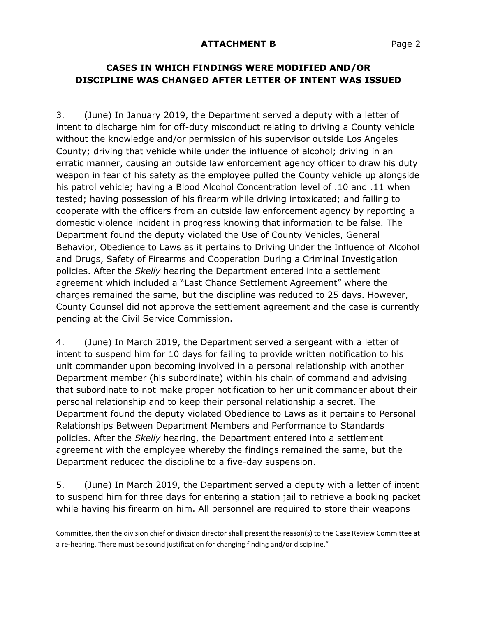### **CASES IN WHICH FINDINGS WERE MODIFIED AND/OR DISCIPLINE WAS CHANGED AFTER LETTER OF INTENT WAS ISSUED**

3. (June) In January 2019, the Department served a deputy with a letter of intent to discharge him for off-duty misconduct relating to driving a County vehicle without the knowledge and/or permission of his supervisor outside Los Angeles County; driving that vehicle while under the influence of alcohol; driving in an erratic manner, causing an outside law enforcement agency officer to draw his duty weapon in fear of his safety as the employee pulled the County vehicle up alongside his patrol vehicle; having a Blood Alcohol Concentration level of .10 and .11 when tested; having possession of his firearm while driving intoxicated; and failing to cooperate with the officers from an outside law enforcement agency by reporting a domestic violence incident in progress knowing that information to be false. The Department found the deputy violated the Use of County Vehicles, General Behavior, Obedience to Laws as it pertains to Driving Under the Influence of Alcohol and Drugs, Safety of Firearms and Cooperation During a Criminal Investigation policies. After the *Skelly* hearing the Department entered into a settlement agreement which included a "Last Chance Settlement Agreement" where the charges remained the same, but the discipline was reduced to 25 days. However, County Counsel did not approve the settlement agreement and the case is currently pending at the Civil Service Commission.

4. (June) In March 2019, the Department served a sergeant with a letter of intent to suspend him for 10 days for failing to provide written notification to his unit commander upon becoming involved in a personal relationship with another Department member (his subordinate) within his chain of command and advising that subordinate to not make proper notification to her unit commander about their personal relationship and to keep their personal relationship a secret. The Department found the deputy violated Obedience to Laws as it pertains to Personal Relationships Between Department Members and Performance to Standards policies. After the *Skelly* hearing, the Department entered into a settlement agreement with the employee whereby the findings remained the same, but the Department reduced the discipline to a five-day suspension.

5. (June) In March 2019, the Department served a deputy with a letter of intent to suspend him for three days for entering a station jail to retrieve a booking packet while having his firearm on him. All personnel are required to store their weapons

-

Committee, then the division chief or division director shall present the reason(s) to the Case Review Committee at a re-hearing. There must be sound justification for changing finding and/or discipline."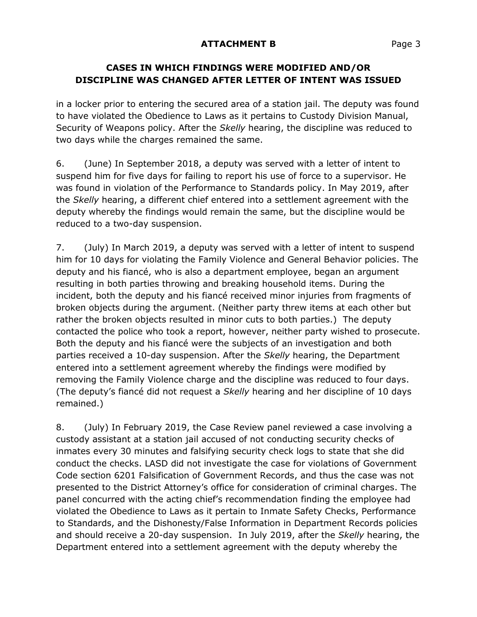# **CASES IN WHICH FINDINGS WERE MODIFIED AND/OR DISCIPLINE WAS CHANGED AFTER LETTER OF INTENT WAS ISSUED**

in a locker prior to entering the secured area of a station jail. The deputy was found to have violated the Obedience to Laws as it pertains to Custody Division Manual, Security of Weapons policy. After the *Skelly* hearing, the discipline was reduced to two days while the charges remained the same.

6. (June) In September 2018, a deputy was served with a letter of intent to suspend him for five days for failing to report his use of force to a supervisor. He was found in violation of the Performance to Standards policy. In May 2019, after the *Skelly* hearing, a different chief entered into a settlement agreement with the deputy whereby the findings would remain the same, but the discipline would be reduced to a two-day suspension.

7. (July) In March 2019, a deputy was served with a letter of intent to suspend him for 10 days for violating the Family Violence and General Behavior policies. The deputy and his fiancé, who is also a department employee, began an argument resulting in both parties throwing and breaking household items. During the incident, both the deputy and his fiancé received minor injuries from fragments of broken objects during the argument. (Neither party threw items at each other but rather the broken objects resulted in minor cuts to both parties.) The deputy contacted the police who took a report, however, neither party wished to prosecute. Both the deputy and his fiancé were the subjects of an investigation and both parties received a 10-day suspension. After the *Skelly* hearing, the Department entered into a settlement agreement whereby the findings were modified by removing the Family Violence charge and the discipline was reduced to four days. (The deputy's fiancé did not request a *Skelly* hearing and her discipline of 10 days remained.)

8. (July) In February 2019, the Case Review panel reviewed a case involving a custody assistant at a station jail accused of not conducting security checks of inmates every 30 minutes and falsifying security check logs to state that she did conduct the checks. LASD did not investigate the case for violations of Government Code section 6201 Falsification of Government Records, and thus the case was not presented to the District Attorney's office for consideration of criminal charges. The panel concurred with the acting chief's recommendation finding the employee had violated the Obedience to Laws as it pertain to Inmate Safety Checks, Performance to Standards, and the Dishonesty/False Information in Department Records policies and should receive a 20-day suspension. In July 2019, after the *Skelly* hearing, the Department entered into a settlement agreement with the deputy whereby the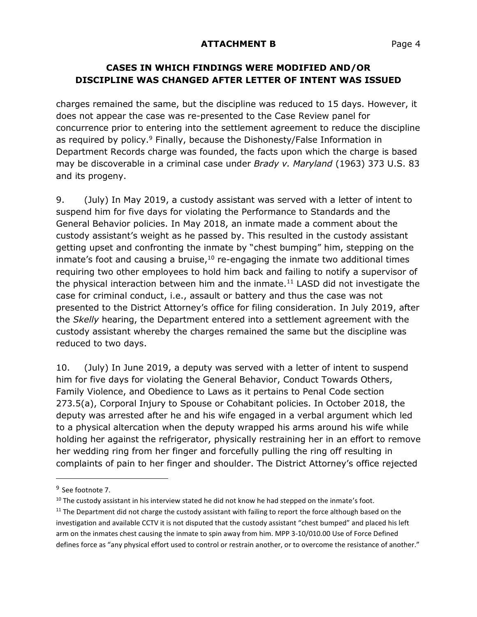### **CASES IN WHICH FINDINGS WERE MODIFIED AND/OR DISCIPLINE WAS CHANGED AFTER LETTER OF INTENT WAS ISSUED**

charges remained the same, but the discipline was reduced to 15 days. However, it does not appear the case was re-presented to the Case Review panel for concurrence prior to entering into the settlement agreement to reduce the discipline as required by policy.<sup>9</sup> Finally, because the Dishonesty/False Information in Department Records charge was founded, the facts upon which the charge is based may be discoverable in a criminal case under *Brady v. Maryland* (1963) 373 U.S. 83 and its progeny.

9. (July) In May 2019, a custody assistant was served with a letter of intent to suspend him for five days for violating the Performance to Standards and the General Behavior policies. In May 2018, an inmate made a comment about the custody assistant's weight as he passed by. This resulted in the custody assistant getting upset and confronting the inmate by "chest bumping" him, stepping on the inmate's foot and causing a bruise, $10$  re-engaging the inmate two additional times requiring two other employees to hold him back and failing to notify a supervisor of the physical interaction between him and the inmate.<sup>11</sup> LASD did not investigate the case for criminal conduct, i.e., assault or battery and thus the case was not presented to the District Attorney's office for filing consideration. In July 2019, after the *Skelly* hearing, the Department entered into a settlement agreement with the custody assistant whereby the charges remained the same but the discipline was reduced to two days.

10. (July) In June 2019, a deputy was served with a letter of intent to suspend him for five days for violating the General Behavior, Conduct Towards Others, Family Violence, and Obedience to Laws as it pertains to Penal Code section 273.5(a), Corporal Injury to Spouse or Cohabitant policies. In October 2018, the deputy was arrested after he and his wife engaged in a verbal argument which led to a physical altercation when the deputy wrapped his arms around his wife while holding her against the refrigerator, physically restraining her in an effort to remove her wedding ring from her finger and forcefully pulling the ring off resulting in complaints of pain to her finger and shoulder. The District Attorney's office rejected

 $\overline{a}$ 

<sup>&</sup>lt;sup>9</sup> See footnote 7.

 $10$  The custody assistant in his interview stated he did not know he had stepped on the inmate's foot.

 $11$  The Department did not charge the custody assistant with failing to report the force although based on the investigation and available CCTV it is not disputed that the custody assistant "chest bumped" and placed his left arm on the inmates chest causing the inmate to spin away from him. MPP 3-10/010.00 Use of Force Defined defines force as "any physical effort used to control or restrain another, or to overcome the resistance of another."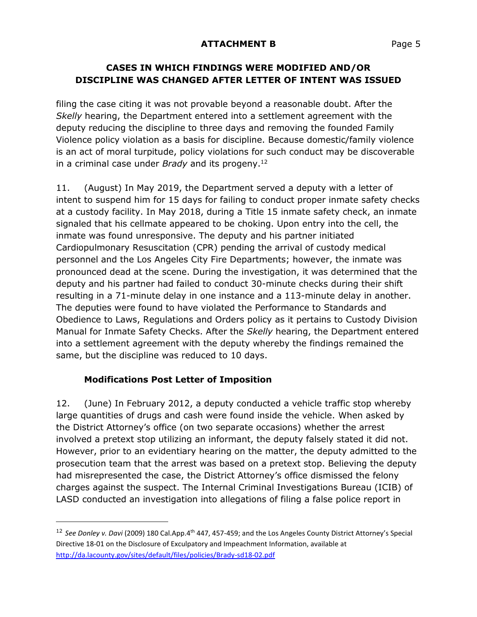### **CASES IN WHICH FINDINGS WERE MODIFIED AND/OR DISCIPLINE WAS CHANGED AFTER LETTER OF INTENT WAS ISSUED**

filing the case citing it was not provable beyond a reasonable doubt. After the *Skelly* hearing, the Department entered into a settlement agreement with the deputy reducing the discipline to three days and removing the founded Family Violence policy violation as a basis for discipline. Because domestic/family violence is an act of moral turpitude, policy violations for such conduct may be discoverable in a criminal case under *Brady* and its progeny.<sup>12</sup>

11. (August) In May 2019, the Department served a deputy with a letter of intent to suspend him for 15 days for failing to conduct proper inmate safety checks at a custody facility. In May 2018, during a Title 15 inmate safety check, an inmate signaled that his cellmate appeared to be choking. Upon entry into the cell, the inmate was found unresponsive. The deputy and his partner initiated Cardiopulmonary Resuscitation (CPR) pending the arrival of custody medical personnel and the Los Angeles City Fire Departments; however, the inmate was pronounced dead at the scene. During the investigation, it was determined that the deputy and his partner had failed to conduct 30-minute checks during their shift resulting in a 71-minute delay in one instance and a 113-minute delay in another. The deputies were found to have violated the Performance to Standards and Obedience to Laws, Regulations and Orders policy as it pertains to Custody Division Manual for Inmate Safety Checks. After the *Skelly* hearing, the Department entered into a settlement agreement with the deputy whereby the findings remained the same, but the discipline was reduced to 10 days.

# **Modifications Post Letter of Imposition**

j

12. (June) In February 2012, a deputy conducted a vehicle traffic stop whereby large quantities of drugs and cash were found inside the vehicle. When asked by the District Attorney's office (on two separate occasions) whether the arrest involved a pretext stop utilizing an informant, the deputy falsely stated it did not. However, prior to an evidentiary hearing on the matter, the deputy admitted to the prosecution team that the arrest was based on a pretext stop. Believing the deputy had misrepresented the case, the District Attorney's office dismissed the felony charges against the suspect. The Internal Criminal Investigations Bureau (ICIB) of LASD conducted an investigation into allegations of filing a false police report in

<sup>&</sup>lt;sup>12</sup> See Donley v. Davi (2009) 180 Cal.App.4<sup>th</sup> 447, 457-459; and the Los Angeles County District Attorney's Special Directive 18-01 on the Disclosure of Exculpatory and Impeachment Information, available at <http://da.lacounty.gov/sites/default/files/policies/Brady-sd18-02.pdf>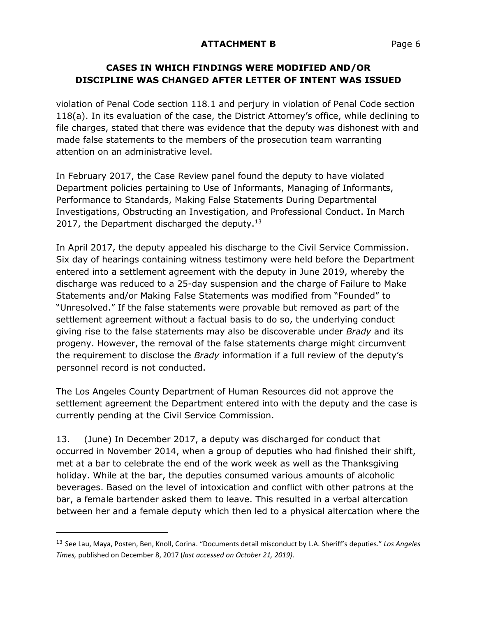### **CASES IN WHICH FINDINGS WERE MODIFIED AND/OR DISCIPLINE WAS CHANGED AFTER LETTER OF INTENT WAS ISSUED**

violation of Penal Code section 118.1 and perjury in violation of Penal Code section 118(a). In its evaluation of the case, the District Attorney's office, while declining to file charges, stated that there was evidence that the deputy was dishonest with and made false statements to the members of the prosecution team warranting attention on an administrative level.

In February 2017, the Case Review panel found the deputy to have violated Department policies pertaining to Use of Informants, Managing of Informants, Performance to Standards, Making False Statements During Departmental Investigations, Obstructing an Investigation, and Professional Conduct. In March 2017, the Department discharged the deputy. $13$ 

In April 2017, the deputy appealed his discharge to the Civil Service Commission. Six day of hearings containing witness testimony were held before the Department entered into a settlement agreement with the deputy in June 2019, whereby the discharge was reduced to a 25-day suspension and the charge of Failure to Make Statements and/or Making False Statements was modified from "Founded" to "Unresolved." If the false statements were provable but removed as part of the settlement agreement without a factual basis to do so, the underlying conduct giving rise to the false statements may also be discoverable under *Brady* and its progeny. However, the removal of the false statements charge might circumvent the requirement to disclose the *Brady* information if a full review of the deputy's personnel record is not conducted.

The Los Angeles County Department of Human Resources did not approve the settlement agreement the Department entered into with the deputy and the case is currently pending at the Civil Service Commission.

13. (June) In December 2017, a deputy was discharged for conduct that occurred in November 2014, when a group of deputies who had finished their shift, met at a bar to celebrate the end of the work week as well as the Thanksgiving holiday. While at the bar, the deputies consumed various amounts of alcoholic beverages. Based on the level of intoxication and conflict with other patrons at the bar, a female bartender asked them to leave. This resulted in a verbal altercation between her and a female deputy which then led to a physical altercation where the

 $\overline{a}$ 

<sup>13</sup> See Lau, Maya, Posten, Ben, Knoll, Corina. "Documents detail misconduct by L.A. Sheriff's deputies." *Los Angeles Times,* published on December 8, 2017 (*last accessed on October 21, 2019)*.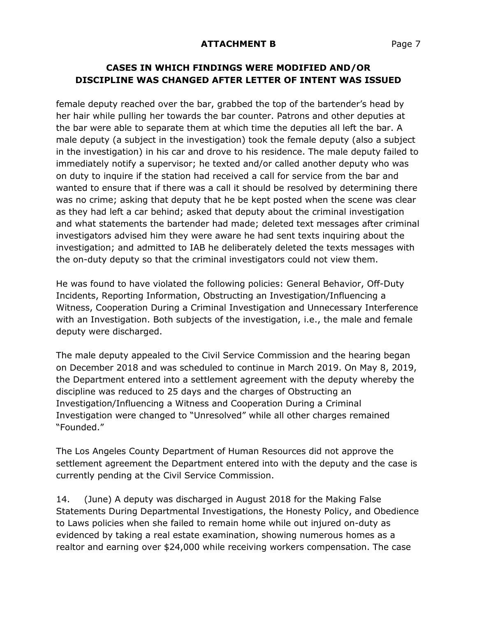# **CASES IN WHICH FINDINGS WERE MODIFIED AND/OR DISCIPLINE WAS CHANGED AFTER LETTER OF INTENT WAS ISSUED**

female deputy reached over the bar, grabbed the top of the bartender's head by her hair while pulling her towards the bar counter. Patrons and other deputies at the bar were able to separate them at which time the deputies all left the bar. A male deputy (a subject in the investigation) took the female deputy (also a subject in the investigation) in his car and drove to his residence. The male deputy failed to immediately notify a supervisor; he texted and/or called another deputy who was on duty to inquire if the station had received a call for service from the bar and wanted to ensure that if there was a call it should be resolved by determining there was no crime; asking that deputy that he be kept posted when the scene was clear as they had left a car behind; asked that deputy about the criminal investigation and what statements the bartender had made; deleted text messages after criminal investigators advised him they were aware he had sent texts inquiring about the investigation; and admitted to IAB he deliberately deleted the texts messages with the on-duty deputy so that the criminal investigators could not view them.

He was found to have violated the following policies: General Behavior, Off-Duty Incidents, Reporting Information, Obstructing an Investigation/Influencing a Witness, Cooperation During a Criminal Investigation and Unnecessary Interference with an Investigation. Both subjects of the investigation, i.e., the male and female deputy were discharged.

The male deputy appealed to the Civil Service Commission and the hearing began on December 2018 and was scheduled to continue in March 2019. On May 8, 2019, the Department entered into a settlement agreement with the deputy whereby the discipline was reduced to 25 days and the charges of Obstructing an Investigation/Influencing a Witness and Cooperation During a Criminal Investigation were changed to "Unresolved" while all other charges remained "Founded."

The Los Angeles County Department of Human Resources did not approve the settlement agreement the Department entered into with the deputy and the case is currently pending at the Civil Service Commission.

14. (June) A deputy was discharged in August 2018 for the Making False Statements During Departmental Investigations, the Honesty Policy, and Obedience to Laws policies when she failed to remain home while out injured on-duty as evidenced by taking a real estate examination, showing numerous homes as a realtor and earning over \$24,000 while receiving workers compensation. The case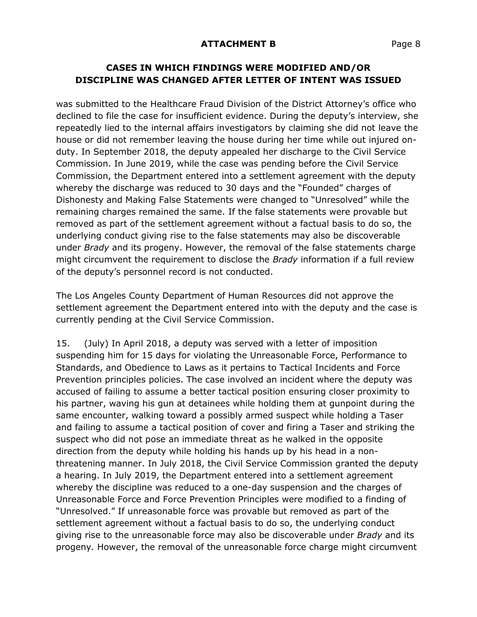### **CASES IN WHICH FINDINGS WERE MODIFIED AND/OR DISCIPLINE WAS CHANGED AFTER LETTER OF INTENT WAS ISSUED**

was submitted to the Healthcare Fraud Division of the District Attorney's office who declined to file the case for insufficient evidence. During the deputy's interview, she repeatedly lied to the internal affairs investigators by claiming she did not leave the house or did not remember leaving the house during her time while out injured onduty. In September 2018, the deputy appealed her discharge to the Civil Service Commission. In June 2019, while the case was pending before the Civil Service Commission, the Department entered into a settlement agreement with the deputy whereby the discharge was reduced to 30 days and the "Founded" charges of Dishonesty and Making False Statements were changed to "Unresolved" while the remaining charges remained the same. If the false statements were provable but removed as part of the settlement agreement without a factual basis to do so, the underlying conduct giving rise to the false statements may also be discoverable under *Brady* and its progeny. However, the removal of the false statements charge might circumvent the requirement to disclose the *Brady* information if a full review of the deputy's personnel record is not conducted.

The Los Angeles County Department of Human Resources did not approve the settlement agreement the Department entered into with the deputy and the case is currently pending at the Civil Service Commission.

15. (July) In April 2018, a deputy was served with a letter of imposition suspending him for 15 days for violating the Unreasonable Force, Performance to Standards, and Obedience to Laws as it pertains to Tactical Incidents and Force Prevention principles policies. The case involved an incident where the deputy was accused of failing to assume a better tactical position ensuring closer proximity to his partner, waving his gun at detainees while holding them at gunpoint during the same encounter, walking toward a possibly armed suspect while holding a Taser and failing to assume a tactical position of cover and firing a Taser and striking the suspect who did not pose an immediate threat as he walked in the opposite direction from the deputy while holding his hands up by his head in a nonthreatening manner. In July 2018, the Civil Service Commission granted the deputy a hearing. In July 2019, the Department entered into a settlement agreement whereby the discipline was reduced to a one-day suspension and the charges of Unreasonable Force and Force Prevention Principles were modified to a finding of "Unresolved." If unreasonable force was provable but removed as part of the settlement agreement without a factual basis to do so, the underlying conduct giving rise to the unreasonable force may also be discoverable under *Brady* and its progeny*.* However, the removal of the unreasonable force charge might circumvent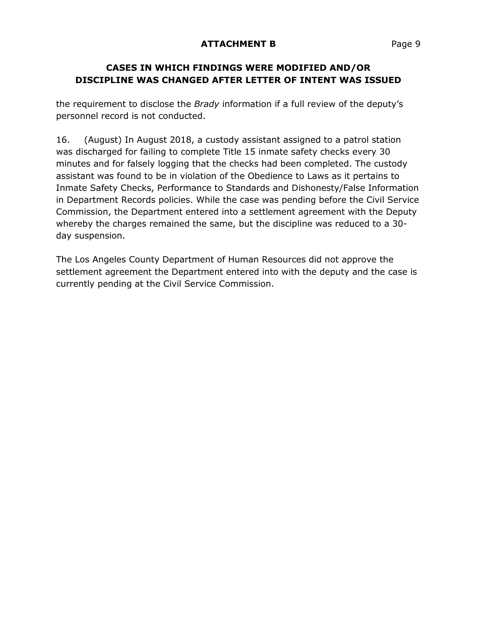# **CASES IN WHICH FINDINGS WERE MODIFIED AND/OR DISCIPLINE WAS CHANGED AFTER LETTER OF INTENT WAS ISSUED**

the requirement to disclose the *Brady* information if a full review of the deputy's personnel record is not conducted.

16. (August) In August 2018, a custody assistant assigned to a patrol station was discharged for failing to complete Title 15 inmate safety checks every 30 minutes and for falsely logging that the checks had been completed. The custody assistant was found to be in violation of the Obedience to Laws as it pertains to Inmate Safety Checks, Performance to Standards and Dishonesty/False Information in Department Records policies. While the case was pending before the Civil Service Commission, the Department entered into a settlement agreement with the Deputy whereby the charges remained the same, but the discipline was reduced to a 30 day suspension.

The Los Angeles County Department of Human Resources did not approve the settlement agreement the Department entered into with the deputy and the case is currently pending at the Civil Service Commission.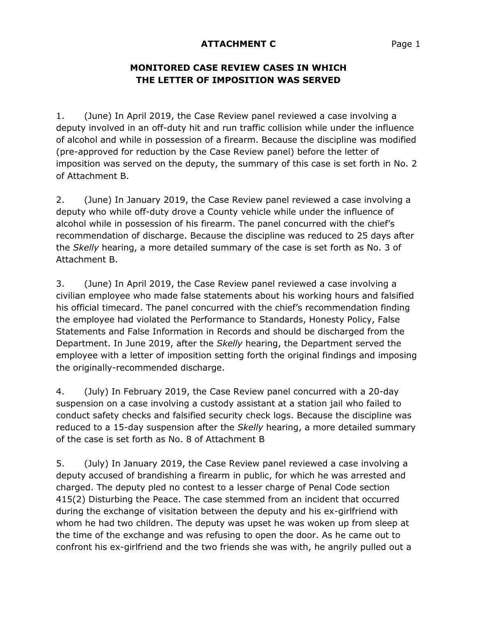# **MONITORED CASE REVIEW CASES IN WHICH THE LETTER OF IMPOSITION WAS SERVED**

1. (June) In April 2019, the Case Review panel reviewed a case involving a deputy involved in an off-duty hit and run traffic collision while under the influence of alcohol and while in possession of a firearm. Because the discipline was modified (pre-approved for reduction by the Case Review panel) before the letter of imposition was served on the deputy, the summary of this case is set forth in No. 2 of Attachment B.

2. (June) In January 2019, the Case Review panel reviewed a case involving a deputy who while off-duty drove a County vehicle while under the influence of alcohol while in possession of his firearm. The panel concurred with the chief's recommendation of discharge. Because the discipline was reduced to 25 days after the *Skelly* hearing, a more detailed summary of the case is set forth as No. 3 of Attachment B.

3. (June) In April 2019, the Case Review panel reviewed a case involving a civilian employee who made false statements about his working hours and falsified his official timecard. The panel concurred with the chief's recommendation finding the employee had violated the Performance to Standards, Honesty Policy, False Statements and False Information in Records and should be discharged from the Department. In June 2019, after the *Skelly* hearing, the Department served the employee with a letter of imposition setting forth the original findings and imposing the originally-recommended discharge.

4. (July) In February 2019, the Case Review panel concurred with a 20-day suspension on a case involving a custody assistant at a station jail who failed to conduct safety checks and falsified security check logs. Because the discipline was reduced to a 15-day suspension after the *Skelly* hearing, a more detailed summary of the case is set forth as No. 8 of Attachment B

5. (July) In January 2019, the Case Review panel reviewed a case involving a deputy accused of brandishing a firearm in public, for which he was arrested and charged. The deputy pled no contest to a lesser charge of Penal Code section 415(2) Disturbing the Peace. The case stemmed from an incident that occurred during the exchange of visitation between the deputy and his ex-girlfriend with whom he had two children. The deputy was upset he was woken up from sleep at the time of the exchange and was refusing to open the door. As he came out to confront his ex-girlfriend and the two friends she was with, he angrily pulled out a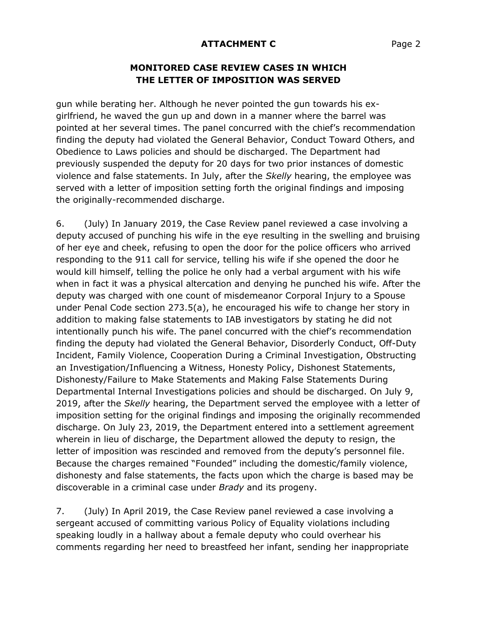#### **MONITORED CASE REVIEW CASES IN WHICH THE LETTER OF IMPOSITION WAS SERVED**

gun while berating her. Although he never pointed the gun towards his exgirlfriend, he waved the gun up and down in a manner where the barrel was pointed at her several times. The panel concurred with the chief's recommendation finding the deputy had violated the General Behavior, Conduct Toward Others, and Obedience to Laws policies and should be discharged. The Department had previously suspended the deputy for 20 days for two prior instances of domestic violence and false statements. In July, after the *Skelly* hearing, the employee was served with a letter of imposition setting forth the original findings and imposing the originally-recommended discharge.

6. (July) In January 2019, the Case Review panel reviewed a case involving a deputy accused of punching his wife in the eye resulting in the swelling and bruising of her eye and cheek, refusing to open the door for the police officers who arrived responding to the 911 call for service, telling his wife if she opened the door he would kill himself, telling the police he only had a verbal argument with his wife when in fact it was a physical altercation and denying he punched his wife. After the deputy was charged with one count of misdemeanor Corporal Injury to a Spouse under Penal Code section 273.5(a), he encouraged his wife to change her story in addition to making false statements to IAB investigators by stating he did not intentionally punch his wife. The panel concurred with the chief's recommendation finding the deputy had violated the General Behavior, Disorderly Conduct, Off-Duty Incident, Family Violence, Cooperation During a Criminal Investigation, Obstructing an Investigation/Influencing a Witness, Honesty Policy, Dishonest Statements, Dishonesty/Failure to Make Statements and Making False Statements During Departmental Internal Investigations policies and should be discharged. On July 9, 2019, after the *Skelly* hearing, the Department served the employee with a letter of imposition setting for the original findings and imposing the originally recommended discharge. On July 23, 2019, the Department entered into a settlement agreement wherein in lieu of discharge, the Department allowed the deputy to resign, the letter of imposition was rescinded and removed from the deputy's personnel file. Because the charges remained "Founded" including the domestic/family violence, dishonesty and false statements, the facts upon which the charge is based may be discoverable in a criminal case under *Brady* and its progeny.

7. (July) In April 2019, the Case Review panel reviewed a case involving a sergeant accused of committing various Policy of Equality violations including speaking loudly in a hallway about a female deputy who could overhear his comments regarding her need to breastfeed her infant, sending her inappropriate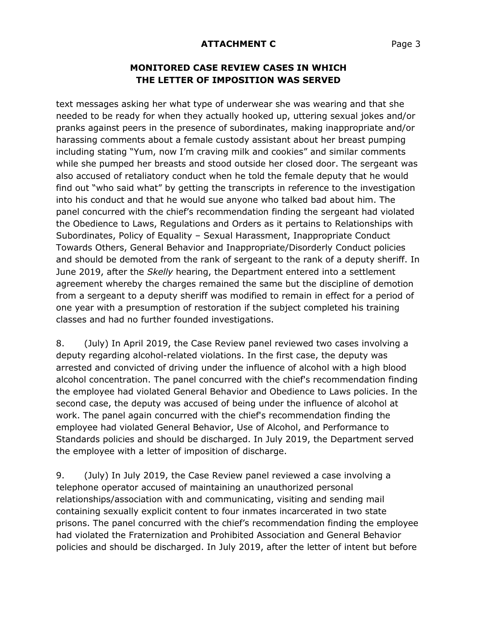#### **MONITORED CASE REVIEW CASES IN WHICH THE LETTER OF IMPOSITION WAS SERVED**

text messages asking her what type of underwear she was wearing and that she needed to be ready for when they actually hooked up, uttering sexual jokes and/or pranks against peers in the presence of subordinates, making inappropriate and/or harassing comments about a female custody assistant about her breast pumping including stating "Yum, now I'm craving milk and cookies" and similar comments while she pumped her breasts and stood outside her closed door. The sergeant was also accused of retaliatory conduct when he told the female deputy that he would find out "who said what" by getting the transcripts in reference to the investigation into his conduct and that he would sue anyone who talked bad about him. The panel concurred with the chief's recommendation finding the sergeant had violated the Obedience to Laws, Regulations and Orders as it pertains to Relationships with Subordinates, Policy of Equality – Sexual Harassment, Inappropriate Conduct Towards Others, General Behavior and Inappropriate/Disorderly Conduct policies and should be demoted from the rank of sergeant to the rank of a deputy sheriff. In June 2019, after the *Skelly* hearing, the Department entered into a settlement agreement whereby the charges remained the same but the discipline of demotion from a sergeant to a deputy sheriff was modified to remain in effect for a period of one year with a presumption of restoration if the subject completed his training classes and had no further founded investigations.

8. (July) In April 2019, the Case Review panel reviewed two cases involving a deputy regarding alcohol-related violations. In the first case, the deputy was arrested and convicted of driving under the influence of alcohol with a high blood alcohol concentration. The panel concurred with the chief's recommendation finding the employee had violated General Behavior and Obedience to Laws policies. In the second case, the deputy was accused of being under the influence of alcohol at work. The panel again concurred with the chief's recommendation finding the employee had violated General Behavior, Use of Alcohol, and Performance to Standards policies and should be discharged. In July 2019, the Department served the employee with a letter of imposition of discharge.

9. (July) In July 2019, the Case Review panel reviewed a case involving a telephone operator accused of maintaining an unauthorized personal relationships/association with and communicating, visiting and sending mail containing sexually explicit content to four inmates incarcerated in two state prisons. The panel concurred with the chief's recommendation finding the employee had violated the Fraternization and Prohibited Association and General Behavior policies and should be discharged. In July 2019, after the letter of intent but before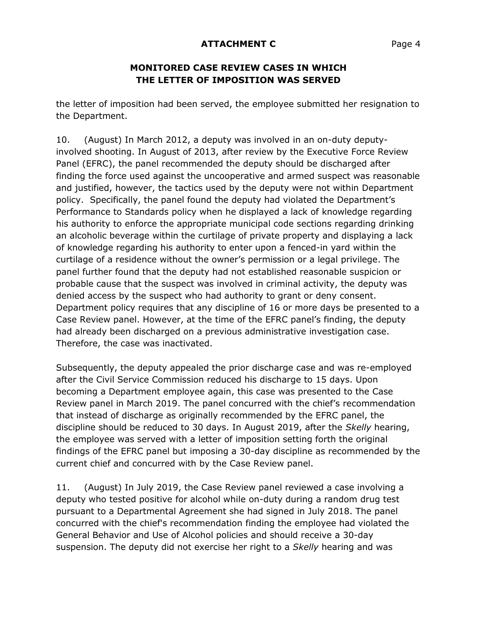### **MONITORED CASE REVIEW CASES IN WHICH THE LETTER OF IMPOSITION WAS SERVED**

the letter of imposition had been served, the employee submitted her resignation to the Department.

10. (August) In March 2012, a deputy was involved in an on-duty deputyinvolved shooting. In August of 2013, after review by the Executive Force Review Panel (EFRC), the panel recommended the deputy should be discharged after finding the force used against the uncooperative and armed suspect was reasonable and justified, however, the tactics used by the deputy were not within Department policy. Specifically, the panel found the deputy had violated the Department's Performance to Standards policy when he displayed a lack of knowledge regarding his authority to enforce the appropriate municipal code sections regarding drinking an alcoholic beverage within the curtilage of private property and displaying a lack of knowledge regarding his authority to enter upon a fenced-in yard within the curtilage of a residence without the owner's permission or a legal privilege. The panel further found that the deputy had not established reasonable suspicion or probable cause that the suspect was involved in criminal activity, the deputy was denied access by the suspect who had authority to grant or deny consent. Department policy requires that any discipline of 16 or more days be presented to a Case Review panel. However, at the time of the EFRC panel's finding, the deputy had already been discharged on a previous administrative investigation case. Therefore, the case was inactivated.

Subsequently, the deputy appealed the prior discharge case and was re-employed after the Civil Service Commission reduced his discharge to 15 days. Upon becoming a Department employee again, this case was presented to the Case Review panel in March 2019. The panel concurred with the chief's recommendation that instead of discharge as originally recommended by the EFRC panel, the discipline should be reduced to 30 days. In August 2019, after the *Skelly* hearing, the employee was served with a letter of imposition setting forth the original findings of the EFRC panel but imposing a 30-day discipline as recommended by the current chief and concurred with by the Case Review panel.

11. (August) In July 2019, the Case Review panel reviewed a case involving a deputy who tested positive for alcohol while on-duty during a random drug test pursuant to a Departmental Agreement she had signed in July 2018. The panel concurred with the chief's recommendation finding the employee had violated the General Behavior and Use of Alcohol policies and should receive a 30-day suspension. The deputy did not exercise her right to a *Skelly* hearing and was